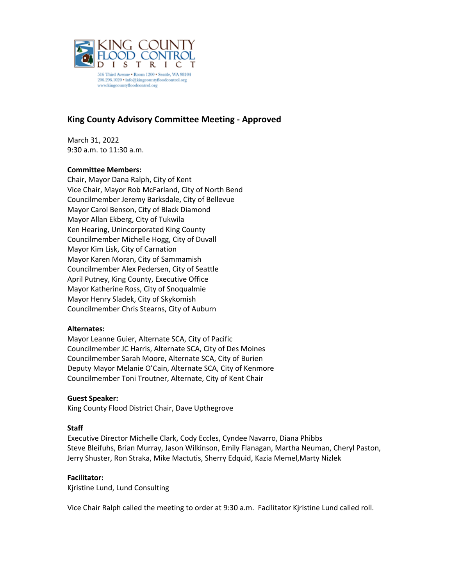

516 Third Avenue . Room 1200 . Seattle, WA 98104 206.296.1020 • info@kingcountyfloodcontrol.org www.kingcountyfloodcontrol.org

# **King County Advisory Committee Meeting - Approved**

March 31, 2022 9:30 a.m. to 11:30 a.m.

### **Committee Members:**

Chair, Mayor Dana Ralph, City of Kent Vice Chair, Mayor Rob McFarland, City of North Bend Councilmember Jeremy Barksdale, City of Bellevue Mayor Carol Benson, City of Black Diamond Mayor Allan Ekberg, City of Tukwila Ken Hearing, Unincorporated King County Councilmember Michelle Hogg, City of Duvall Mayor Kim Lisk, City of Carnation Mayor Karen Moran, City of Sammamish Councilmember Alex Pedersen, City of Seattle April Putney, King County, Executive Office Mayor Katherine Ross, City of Snoqualmie Mayor Henry Sladek, City of Skykomish Councilmember Chris Stearns, City of Auburn

### **Alternates:**

Mayor Leanne Guier, Alternate SCA, City of Pacific Councilmember JC Harris, Alternate SCA, City of Des Moines Councilmember Sarah Moore, Alternate SCA, City of Burien Deputy Mayor Melanie O'Cain, Alternate SCA, City of Kenmore Councilmember Toni Troutner, Alternate, City of Kent Chair

### **Guest Speaker:**

King County Flood District Chair, Dave Upthegrove

### **Staff**

Executive Director Michelle Clark, Cody Eccles, Cyndee Navarro, Diana Phibbs Steve Bleifuhs, Brian Murray, Jason Wilkinson, Emily Flanagan, Martha Neuman, Cheryl Paston, Jerry Shuster, Ron Straka, Mike Mactutis, Sherry Edquid, Kazia Memel,Marty Nizlek

### **Facilitator:**

Kjristine Lund, Lund Consulting

Vice Chair Ralph called the meeting to order at 9:30 a.m. Facilitator Kjristine Lund called roll.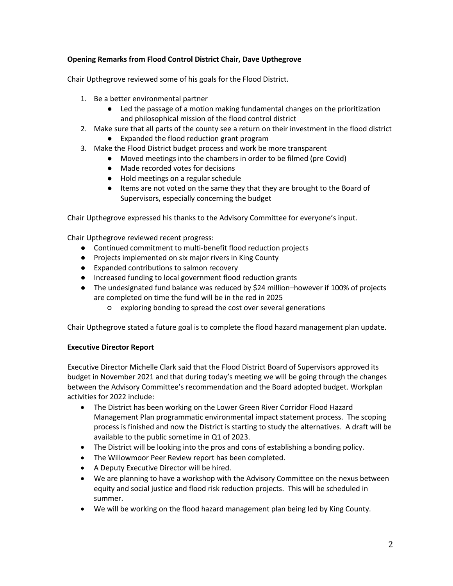## **Opening Remarks from Flood Control District Chair, Dave Upthegrove**

Chair Upthegrove reviewed some of his goals for the Flood District.

- 1. Be a better environmental partner
	- Led the passage of a motion making fundamental changes on the prioritization and philosophical mission of the flood control district
- 2. Make sure that all parts of the county see a return on their investment in the flood district
	- Expanded the flood reduction grant program
- 3. Make the Flood District budget process and work be more transparent
	- Moved meetings into the chambers in order to be filmed (pre Covid)
	- Made recorded votes for decisions
	- Hold meetings on a regular schedule
	- Items are not voted on the same they that they are brought to the Board of Supervisors, especially concerning the budget

Chair Upthegrove expressed his thanks to the Advisory Committee for everyone's input.

Chair Upthegrove reviewed recent progress:

- Continued commitment to multi-benefit flood reduction projects
- Projects implemented on six major rivers in King County
- Expanded contributions to salmon recovery
- Increased funding to local government flood reduction grants
- The undesignated fund balance was reduced by \$24 million–however if 100% of projects are completed on time the fund will be in the red in 2025
	- exploring bonding to spread the cost over several generations

Chair Upthegrove stated a future goal is to complete the flood hazard management plan update.

### **Executive Director Report**

Executive Director Michelle Clark said that the Flood District Board of Supervisors approved its budget in November 2021 and that during today's meeting we will be going through the changes between the Advisory Committee's recommendation and the Board adopted budget. Workplan activities for 2022 include:

- The District has been working on the Lower Green River Corridor Flood Hazard Management Plan programmatic environmental impact statement process. The scoping process is finished and now the District is starting to study the alternatives. A draft will be available to the public sometime in Q1 of 2023.
- The District will be looking into the pros and cons of establishing a bonding policy.
- The Willowmoor Peer Review report has been completed.
- A Deputy Executive Director will be hired.
- We are planning to have a workshop with the Advisory Committee on the nexus between equity and social justice and flood risk reduction projects. This will be scheduled in summer.
- We will be working on the flood hazard management plan being led by King County.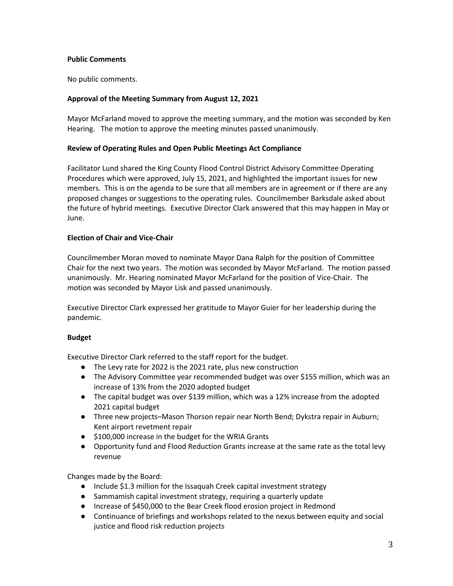### **Public Comments**

No public comments.

### **Approval of the Meeting Summary from August 12, 2021**

Mayor McFarland moved to approve the meeting summary, and the motion was seconded by Ken Hearing. The motion to approve the meeting minutes passed unanimously.

### **Review of Operating Rules and Open Public Meetings Act Compliance**

Facilitator Lund shared the King County Flood Control District Advisory Committee Operating Procedures which were approved, July 15, 2021, and highlighted the important issues for new members. This is on the agenda to be sure that all members are in agreement or if there are any proposed changes or suggestions to the operating rules. Councilmember Barksdale asked about the future of hybrid meetings. Executive Director Clark answered that this may happen in May or June.

### **Election of Chair and Vice-Chair**

Councilmember Moran moved to nominate Mayor Dana Ralph for the position of Committee Chair for the next two years. The motion was seconded by Mayor McFarland. The motion passed unanimously. Mr. Hearing nominated Mayor McFarland for the position of Vice-Chair. The motion was seconded by Mayor Lisk and passed unanimously.

Executive Director Clark expressed her gratitude to Mayor Guier for her leadership during the pandemic.

### **Budget**

Executive Director Clark referred to the staff report for the budget.

- The Levy rate for 2022 is the 2021 rate, plus new construction
- The Advisory Committee year recommended budget was over \$155 million, which was an increase of 13% from the 2020 adopted budget
- The capital budget was over \$139 million, which was a 12% increase from the adopted 2021 capital budget
- Three new projects–Mason Thorson repair near North Bend; Dykstra repair in Auburn; Kent airport revetment repair
- \$100,000 increase in the budget for the WRIA Grants
- Opportunity fund and Flood Reduction Grants increase at the same rate as the total levy revenue

Changes made by the Board:

- Include \$1.3 million for the Issaquah Creek capital investment strategy
- Sammamish capital investment strategy, requiring a quarterly update
- Increase of \$450,000 to the Bear Creek flood erosion project in Redmond
- Continuance of briefings and workshops related to the nexus between equity and social justice and flood risk reduction projects